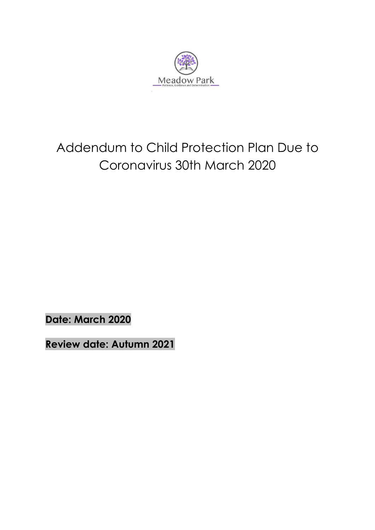

## Addendum to Child Protection Plan Due to Coronavirus 30th March 2020

**Date: March 2020**

**Review date: Autumn 2021**